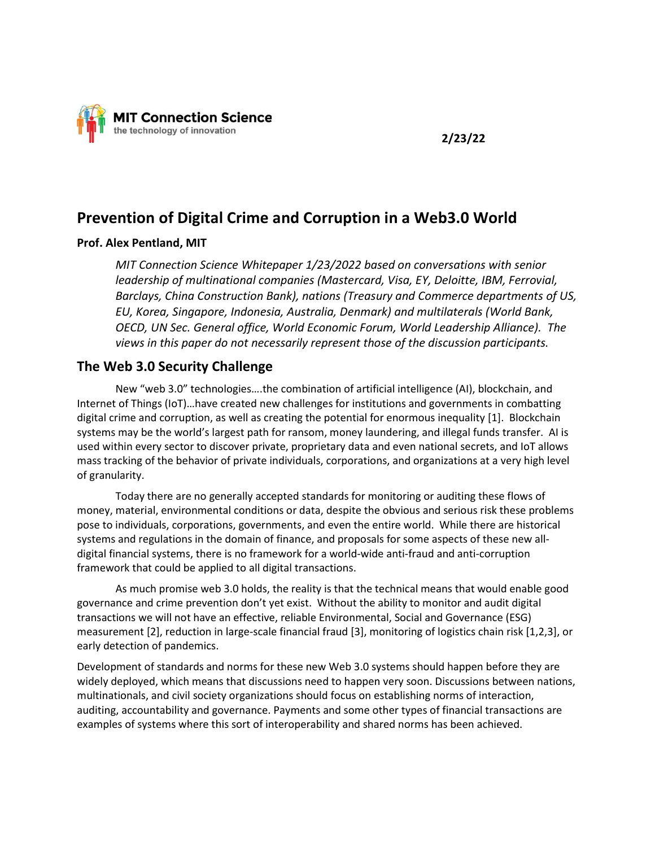

# Prevention of Digital Crime and Corruption in a Web3.0 World

#### Prof. Alex Pentland, MIT

MIT Connection Science Whitepaper 1/23/2022 based on conversations with senior leadership of multinational companies (Mastercard, Visa, EY, Deloitte, IBM, Ferrovial, Barclays, China Construction Bank), nations (Treasury and Commerce departments of US, EU, Korea, Singapore, Indonesia, Australia, Denmark) and multilaterals (World Bank, OECD, UN Sec. General office, World Economic Forum, World Leadership Alliance). The views in this paper do not necessarily represent those of the discussion participants.

## The Web 3.0 Security Challenge

New "web 3.0" technologies….the combination of artificial intelligence (AI), blockchain, and Internet of Things (IoT)…have created new challenges for institutions and governments in combatting digital crime and corruption, as well as creating the potential for enormous inequality [1]. Blockchain systems may be the world's largest path for ransom, money laundering, and illegal funds transfer. AI is used within every sector to discover private, proprietary data and even national secrets, and IoT allows mass tracking of the behavior of private individuals, corporations, and organizations at a very high level of granularity.

Today there are no generally accepted standards for monitoring or auditing these flows of money, material, environmental conditions or data, despite the obvious and serious risk these problems pose to individuals, corporations, governments, and even the entire world. While there are historical systems and regulations in the domain of finance, and proposals for some aspects of these new alldigital financial systems, there is no framework for a world-wide anti-fraud and anti-corruption framework that could be applied to all digital transactions.

As much promise web 3.0 holds, the reality is that the technical means that would enable good governance and crime prevention don't yet exist. Without the ability to monitor and audit digital transactions we will not have an effective, reliable Environmental, Social and Governance (ESG) measurement [2], reduction in large-scale financial fraud [3], monitoring of logistics chain risk [1,2,3], or early detection of pandemics.

Development of standards and norms for these new Web 3.0 systems should happen before they are widely deployed, which means that discussions need to happen very soon. Discussions between nations, multinationals, and civil society organizations should focus on establishing norms of interaction, auditing, accountability and governance. Payments and some other types of financial transactions are examples of systems where this sort of interoperability and shared norms has been achieved.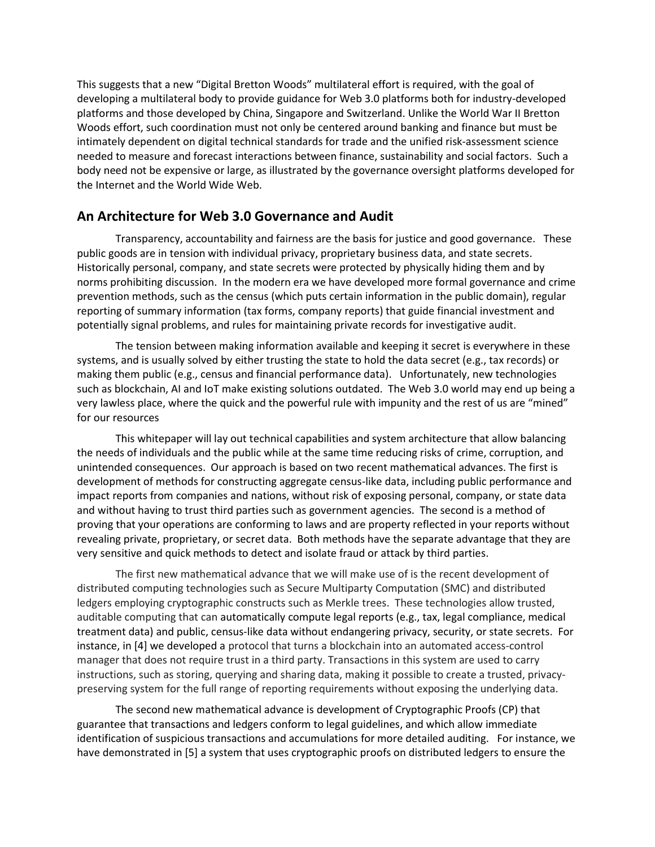This suggests that a new "Digital Bretton Woods" multilateral effort is required, with the goal of developing a multilateral body to provide guidance for Web 3.0 platforms both for industry-developed platforms and those developed by China, Singapore and Switzerland. Unlike the World War II Bretton Woods effort, such coordination must not only be centered around banking and finance but must be intimately dependent on digital technical standards for trade and the unified risk-assessment science needed to measure and forecast interactions between finance, sustainability and social factors. Such a body need not be expensive or large, as illustrated by the governance oversight platforms developed for the Internet and the World Wide Web.

### An Architecture for Web 3.0 Governance and Audit

Transparency, accountability and fairness are the basis for justice and good governance. These public goods are in tension with individual privacy, proprietary business data, and state secrets. Historically personal, company, and state secrets were protected by physically hiding them and by norms prohibiting discussion. In the modern era we have developed more formal governance and crime prevention methods, such as the census (which puts certain information in the public domain), regular reporting of summary information (tax forms, company reports) that guide financial investment and potentially signal problems, and rules for maintaining private records for investigative audit.

The tension between making information available and keeping it secret is everywhere in these systems, and is usually solved by either trusting the state to hold the data secret (e.g., tax records) or making them public (e.g., census and financial performance data). Unfortunately, new technologies such as blockchain, AI and IoT make existing solutions outdated. The Web 3.0 world may end up being a very lawless place, where the quick and the powerful rule with impunity and the rest of us are "mined" for our resources

This whitepaper will lay out technical capabilities and system architecture that allow balancing the needs of individuals and the public while at the same time reducing risks of crime, corruption, and unintended consequences. Our approach is based on two recent mathematical advances. The first is development of methods for constructing aggregate census-like data, including public performance and impact reports from companies and nations, without risk of exposing personal, company, or state data and without having to trust third parties such as government agencies. The second is a method of proving that your operations are conforming to laws and are property reflected in your reports without revealing private, proprietary, or secret data. Both methods have the separate advantage that they are very sensitive and quick methods to detect and isolate fraud or attack by third parties.

The first new mathematical advance that we will make use of is the recent development of distributed computing technologies such as Secure Multiparty Computation (SMC) and distributed ledgers employing cryptographic constructs such as Merkle trees. These technologies allow trusted, auditable computing that can automatically compute legal reports (e.g., tax, legal compliance, medical treatment data) and public, census-like data without endangering privacy, security, or state secrets. For instance, in [4] we developed a protocol that turns a blockchain into an automated access-control manager that does not require trust in a third party. Transactions in this system are used to carry instructions, such as storing, querying and sharing data, making it possible to create a trusted, privacypreserving system for the full range of reporting requirements without exposing the underlying data.

The second new mathematical advance is development of Cryptographic Proofs (CP) that guarantee that transactions and ledgers conform to legal guidelines, and which allow immediate identification of suspicious transactions and accumulations for more detailed auditing. For instance, we have demonstrated in [5] a system that uses cryptographic proofs on distributed ledgers to ensure the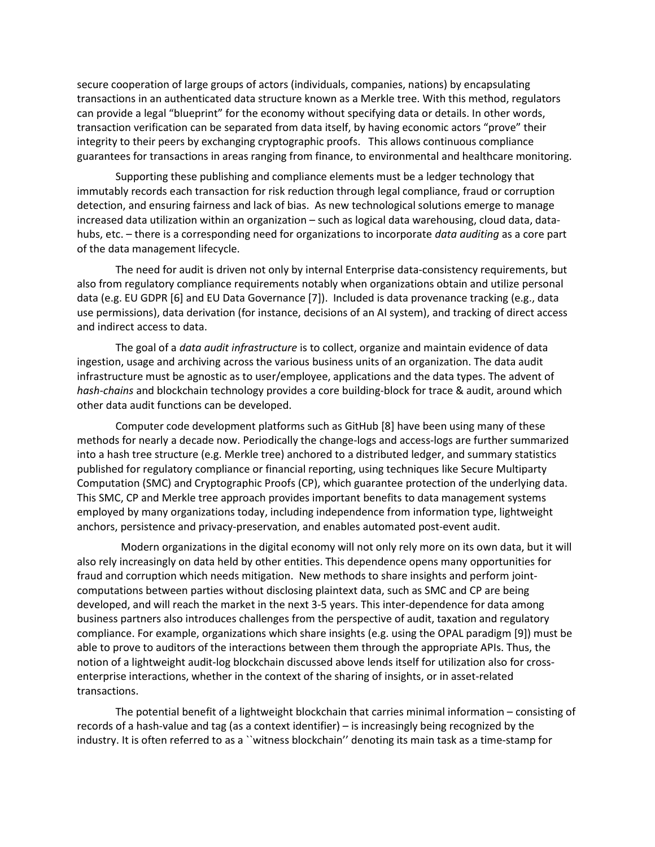secure cooperation of large groups of actors (individuals, companies, nations) by encapsulating transactions in an authenticated data structure known as a Merkle tree. With this method, regulators can provide a legal "blueprint" for the economy without specifying data or details. In other words, transaction verification can be separated from data itself, by having economic actors "prove" their integrity to their peers by exchanging cryptographic proofs. This allows continuous compliance guarantees for transactions in areas ranging from finance, to environmental and healthcare monitoring.

Supporting these publishing and compliance elements must be a ledger technology that immutably records each transaction for risk reduction through legal compliance, fraud or corruption detection, and ensuring fairness and lack of bias. As new technological solutions emerge to manage increased data utilization within an organization – such as logical data warehousing, cloud data, datahubs, etc. – there is a corresponding need for organizations to incorporate data auditing as a core part of the data management lifecycle.

The need for audit is driven not only by internal Enterprise data-consistency requirements, but also from regulatory compliance requirements notably when organizations obtain and utilize personal data (e.g. EU GDPR [6] and EU Data Governance [7]). Included is data provenance tracking (e.g., data use permissions), data derivation (for instance, decisions of an AI system), and tracking of direct access and indirect access to data.

The goal of a *data audit infrastructure* is to collect, organize and maintain evidence of data ingestion, usage and archiving across the various business units of an organization. The data audit infrastructure must be agnostic as to user/employee, applications and the data types. The advent of hash-chains and blockchain technology provides a core building-block for trace & audit, around which other data audit functions can be developed.

Computer code development platforms such as GitHub [8] have been using many of these methods for nearly a decade now. Periodically the change-logs and access-logs are further summarized into a hash tree structure (e.g. Merkle tree) anchored to a distributed ledger, and summary statistics published for regulatory compliance or financial reporting, using techniques like Secure Multiparty Computation (SMC) and Cryptographic Proofs (CP), which guarantee protection of the underlying data. This SMC, CP and Merkle tree approach provides important benefits to data management systems employed by many organizations today, including independence from information type, lightweight anchors, persistence and privacy-preservation, and enables automated post-event audit.

 Modern organizations in the digital economy will not only rely more on its own data, but it will also rely increasingly on data held by other entities. This dependence opens many opportunities for fraud and corruption which needs mitigation. New methods to share insights and perform jointcomputations between parties without disclosing plaintext data, such as SMC and CP are being developed, and will reach the market in the next 3-5 years. This inter-dependence for data among business partners also introduces challenges from the perspective of audit, taxation and regulatory compliance. For example, organizations which share insights (e.g. using the OPAL paradigm [9]) must be able to prove to auditors of the interactions between them through the appropriate APIs. Thus, the notion of a lightweight audit-log blockchain discussed above lends itself for utilization also for crossenterprise interactions, whether in the context of the sharing of insights, or in asset-related transactions.

The potential benefit of a lightweight blockchain that carries minimal information – consisting of records of a hash-value and tag (as a context identifier) – is increasingly being recognized by the industry. It is often referred to as a ``witness blockchain'' denoting its main task as a time-stamp for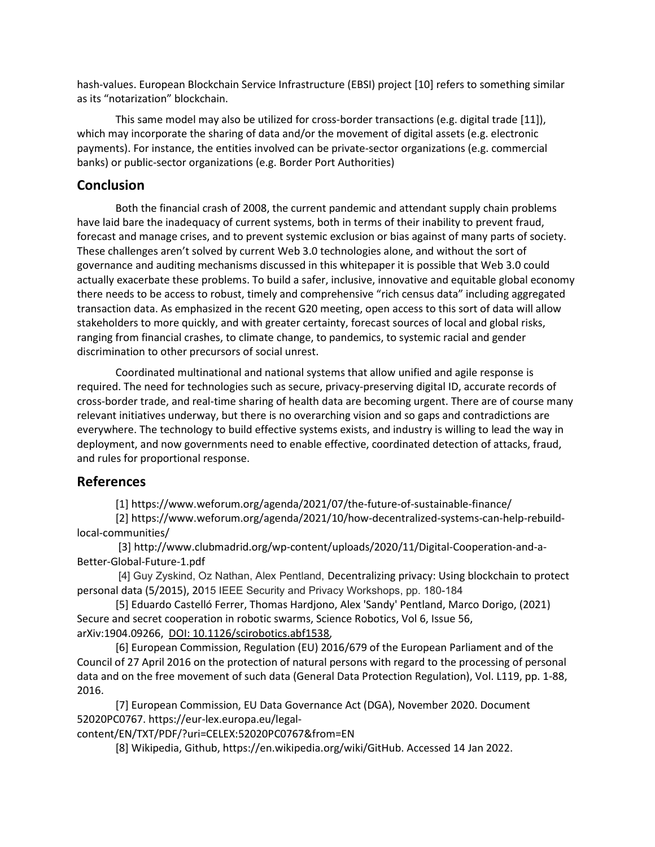hash-values. European Blockchain Service Infrastructure (EBSI) project [10] refers to something similar as its "notarization" blockchain.

This same model may also be utilized for cross-border transactions (e.g. digital trade [11]), which may incorporate the sharing of data and/or the movement of digital assets (e.g. electronic payments). For instance, the entities involved can be private-sector organizations (e.g. commercial banks) or public-sector organizations (e.g. Border Port Authorities)

# **Conclusion**

Both the financial crash of 2008, the current pandemic and attendant supply chain problems have laid bare the inadequacy of current systems, both in terms of their inability to prevent fraud, forecast and manage crises, and to prevent systemic exclusion or bias against of many parts of society. These challenges aren't solved by current Web 3.0 technologies alone, and without the sort of governance and auditing mechanisms discussed in this whitepaper it is possible that Web 3.0 could actually exacerbate these problems. To build a safer, inclusive, innovative and equitable global economy there needs to be access to robust, timely and comprehensive "rich census data" including aggregated transaction data. As emphasized in the recent G20 meeting, open access to this sort of data will allow stakeholders to more quickly, and with greater certainty, forecast sources of local and global risks, ranging from financial crashes, to climate change, to pandemics, to systemic racial and gender discrimination to other precursors of social unrest.

Coordinated multinational and national systems that allow unified and agile response is required. The need for technologies such as secure, privacy-preserving digital ID, accurate records of cross-border trade, and real-time sharing of health data are becoming urgent. There are of course many relevant initiatives underway, but there is no overarching vision and so gaps and contradictions are everywhere. The technology to build effective systems exists, and industry is willing to lead the way in deployment, and now governments need to enable effective, coordinated detection of attacks, fraud, and rules for proportional response.

### References

[1] https://www.weforum.org/agenda/2021/07/the-future-of-sustainable-finance/

[2] https://www.weforum.org/agenda/2021/10/how-decentralized-systems-can-help-rebuildlocal-communities/

 [3] http://www.clubmadrid.org/wp-content/uploads/2020/11/Digital-Cooperation-and-a-Better-Global-Future-1.pdf

 [4] Guy Zyskind, Oz Nathan, Alex Pentland, Decentralizing privacy: Using blockchain to protect personal data (5/2015), 2015 IEEE Security and Privacy Workshops, pp. 180-184

[5] Eduardo Castelló Ferrer, Thomas Hardjono, Alex 'Sandy' Pentland, Marco Dorigo, (2021) Secure and secret cooperation in robotic swarms, Science Robotics, Vol 6, Issue 56, arXiv:1904.09266, DOI: 10.1126/scirobotics.abf1538,

[6] European Commission, Regulation (EU) 2016/679 of the European Parliament and of the Council of 27 April 2016 on the protection of natural persons with regard to the processing of personal data and on the free movement of such data (General Data Protection Regulation), Vol. L119, pp. 1-88, 2016.

[7] European Commission, EU Data Governance Act (DGA), November 2020. Document 52020PC0767. https://eur-lex.europa.eu/legal-

content/EN/TXT/PDF/?uri=CELEX:52020PC0767&from=EN

[8] Wikipedia, Github, https://en.wikipedia.org/wiki/GitHub. Accessed 14 Jan 2022.